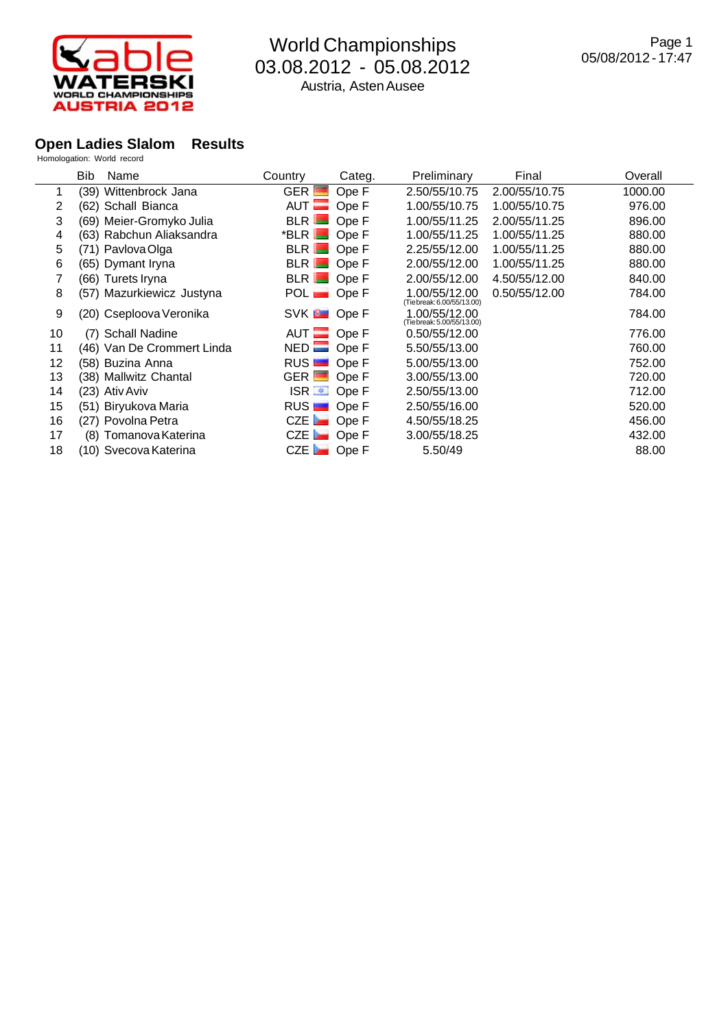

### **Open Ladies Slalom Results**

|    | <b>Bib</b>     | Name                       | Country                 | Categ. | Preliminary                                 | Final         | Overall |
|----|----------------|----------------------------|-------------------------|--------|---------------------------------------------|---------------|---------|
|    |                | (39) Wittenbrock Jana      | $GER$ $\blacksquare$    | Ope F  | 2.50/55/10.75                               | 2.00/55/10.75 | 1000.00 |
| 2  |                | (62) Schall Bianca         | $AUT =$                 | Ope F  | 1.00/55/10.75                               | 1.00/55/10.75 | 976.00  |
| 3  |                | (69) Meier-Gromyko Julia   | $BLR$ $\blacksquare$    | Ope F  | 1.00/55/11.25                               | 2.00/55/11.25 | 896.00  |
| 4  |                | (63) Rabchun Aliaksandra   | $^*$ BLR $\blacksquare$ | Ope F  | 1.00/55/11.25                               | 1.00/55/11.25 | 880.00  |
| 5  |                | (71) Pavlova Olga          | <b>BLR</b>              | Ope F  | 2.25/55/12.00                               | 1.00/55/11.25 | 880.00  |
| 6  |                | (65) Dymant Iryna          | BLR                     | Ope F  | 2.00/55/12.00                               | 1.00/55/11.25 | 880.00  |
|    |                | (66) Turets Iryna          | BLR Ope F               |        | 2.00/55/12.00                               | 4.50/55/12.00 | 840.00  |
| 8  |                | (57) Mazurkiewicz Justyna  | POL <b>D</b> Ope F      |        | 1.00/55/12.00<br>(Tie break: 6.00/55/13.00) | 0.50/55/12.00 | 784.00  |
| 9  |                | (20) Cseploova Veronika    | SVK <b>B</b> Ope F      |        | 1.00/55/12.00<br>(Tie break: 5.00/55/13.00) |               | 784.00  |
| 10 |                | (7) Schall Nadine          | AUT Ope F               |        | 0.50/55/12.00                               |               | 776.00  |
| 11 |                | (46) Van De Crommert Linda | $NED$ Ope F             |        | 5.50/55/13.00                               |               | 760.00  |
| 12 |                | (58) Buzina Anna           | RUS                     | Ope F  | 5.00/55/13.00                               |               | 752.00  |
| 13 |                | (38) Mallwitz Chantal      | $GER$ $\Box$            | Ope F  | 3.00/55/13.00                               |               | 720.00  |
| 14 | (23) Ativ Aviv |                            | ISR ■ Ope F             |        | 2.50/55/13.00                               |               | 712.00  |
| 15 |                | (51) Biryukova Maria       | RUS <b>D</b> Ope F      |        | 2.50/55/16.00                               |               | 520.00  |
| 16 |                | (27) Povolna Petra         | $CZE$ Ope F             |        | 4.50/55/18.25                               |               | 456.00  |
| 17 |                | (8) Tomanova Katerina      | $CZE$ Ope F             |        | 3.00/55/18.25                               |               | 432.00  |
| 18 |                | (10) Svecova Katerina      | CZE <b>De</b> Ope F     |        | 5.50/49                                     |               | 88.00   |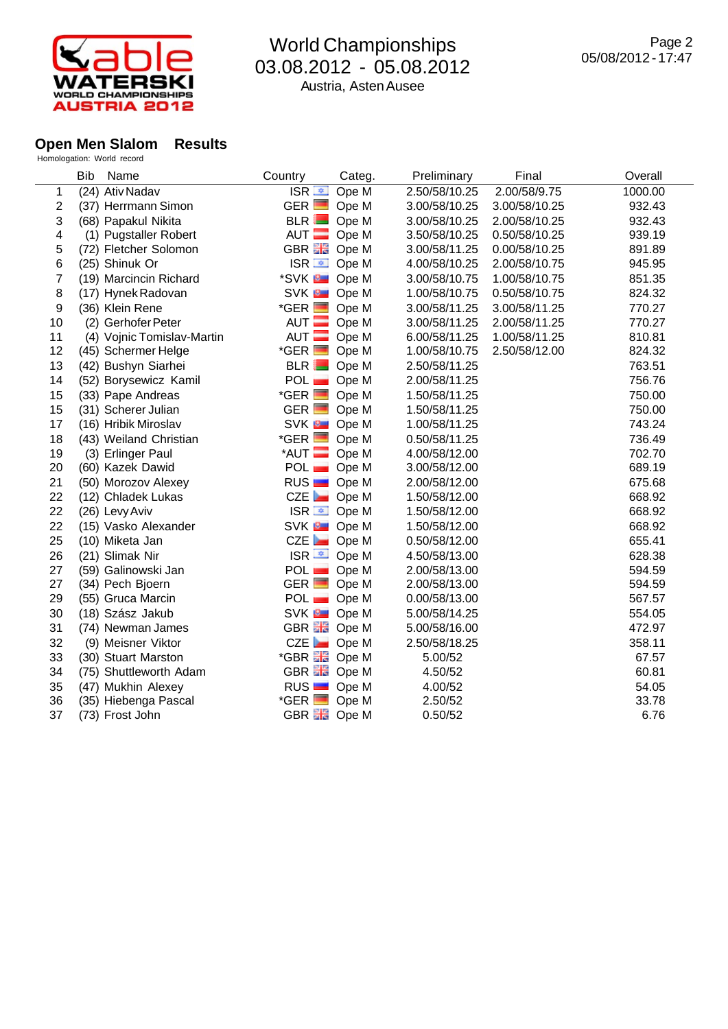

#### **Open Men Slalom Results**

|    | <b>Bib</b><br>Name         | Country                | Categ. | Preliminary   | Final         | Overall |
|----|----------------------------|------------------------|--------|---------------|---------------|---------|
| 1  | (24) Ativ Nadav            | $ISR =$                | Ope M  | 2.50/58/10.25 | 2.00/58/9.75  | 1000.00 |
| 2  | (37) Herrmann Simon        | $GER$ $\Box$           | Ope M  | 3.00/58/10.25 | 3.00/58/10.25 | 932.43  |
| 3  | (68) Papakul Nikita        | BLR                    | Ope M  | 3.00/58/10.25 | 2.00/58/10.25 | 932.43  |
| 4  | (1) Pugstaller Robert      | $AUT$ $\blacksquare$   | Ope M  | 3.50/58/10.25 | 0.50/58/10.25 | 939.19  |
| 5  | (72) Fletcher Solomon      | GBR <b>H</b> Ope M     |        | 3.00/58/11.25 | 0.00/58/10.25 | 891.89  |
| 6  | (25) Shinuk Or             | ISR ■ Ope M            |        | 4.00/58/10.25 | 2.00/58/10.75 | 945.95  |
| 7  | (19) Marcincin Richard     | *SVK <b>B</b> Ope M    |        | 3.00/58/10.75 | 1.00/58/10.75 | 851.35  |
| 8  | (17) Hynek Radovan         | SVK <b>B</b> Ope M     |        | 1.00/58/10.75 | 0.50/58/10.75 | 824.32  |
| 9  | (36) Klein Rene            | $*GER$ $\Box$          | Ope M  | 3.00/58/11.25 | 3.00/58/11.25 | 770.27  |
| 10 | (2) Gerhofer Peter         | AUT $\equiv$           | Ope M  | 3.00/58/11.25 | 2.00/58/11.25 | 770.27  |
| 11 | (4) Vojnic Tomislav-Martin | AUT <b>E</b>           | Ope M  | 6.00/58/11.25 | 1.00/58/11.25 | 810.81  |
| 12 | (45) Schermer Helge        | $*GER$ $\Box$          | Ope M  | 1.00/58/10.75 | 2.50/58/12.00 | 824.32  |
| 13 | (42) Bushyn Siarhei        | BLR                    | Ope M  | 2.50/58/11.25 |               | 763.51  |
| 14 | (52) Borysewicz Kamil      | POL                    | Ope M  | 2.00/58/11.25 |               | 756.76  |
| 15 | (33) Pape Andreas          | $*GER$ $\blacksquare$  | Ope M  | 1.50/58/11.25 |               | 750.00  |
| 15 | (31) Scherer Julian        | $GER$ $\Box$           | Ope M  | 1.50/58/11.25 |               | 750.00  |
| 17 | (16) Hribik Miroslav       | SVK <sup>B</sup> Ope M |        | 1.00/58/11.25 |               | 743.24  |
| 18 | (43) Weiland Christian     | $*GER$ $\Box$          | Ope M  | 0.50/58/11.25 |               | 736.49  |
| 19 | (3) Erlinger Paul          | $*$ AUT $\blacksquare$ | Ope M  | 4.00/58/12.00 |               | 702.70  |
| 20 | (60) Kazek Dawid           | POL <b>D</b> Ope M     |        | 3.00/58/12.00 |               | 689.19  |
| 21 | (50) Morozov Alexey        | RUS <b>D</b> Ope M     |        | 2.00/58/12.00 |               | 675.68  |
| 22 | (12) Chladek Lukas         | CZE Ope M              |        | 1.50/58/12.00 |               | 668.92  |
| 22 | (26) Levy Aviv             | ISR $\equiv$ Ope M     |        | 1.50/58/12.00 |               | 668.92  |
| 22 | (15) Vasko Alexander       | SVK <b>B</b> Ope M     |        | 1.50/58/12.00 |               | 668.92  |
| 25 | (10) Miketa Jan            | CZE Ope M              |        | 0.50/58/12.00 |               | 655.41  |
| 26 | (21) Slimak Nir            | $ISR \equiv$ Ope M     |        | 4.50/58/13.00 |               | 628.38  |
| 27 | (59) Galinowski Jan        | POL Ope M              |        | 2.00/58/13.00 |               | 594.59  |
| 27 | (34) Pech Bjoern           | $GER$ $\Box$           | Ope M  | 2.00/58/13.00 |               | 594.59  |
| 29 | (55) Gruca Marcin          | POL Ope M              |        | 0.00/58/13.00 |               | 567.57  |
| 30 | (18) Szász Jakub           | SVK <b>D</b> Ope M     |        | 5.00/58/14.25 |               | 554.05  |
| 31 | (74) Newman James          | GBREE Ope M            |        | 5.00/58/16.00 |               | 472.97  |
| 32 | (9) Meisner Viktor         | CZE Ope M              |        | 2.50/58/18.25 |               | 358.11  |
| 33 | (30) Stuart Marston        | *GBR <b>He</b> Ope M   |        | 5.00/52       |               | 67.57   |
| 34 | (75) Shuttleworth Adam     | GBR <b>H</b> Ope M     |        | 4.50/52       |               | 60.81   |
| 35 | (47) Mukhin Alexey         | RUS                    | Ope M  | 4.00/52       |               | 54.05   |
| 36 | (35) Hiebenga Pascal       | $*GER$ $\Box$          | Ope M  | 2.50/52       |               | 33.78   |
| 37 | (73) Frost John            | GBR <b>He</b> Ope M    |        | 0.50/52       |               | 6.76    |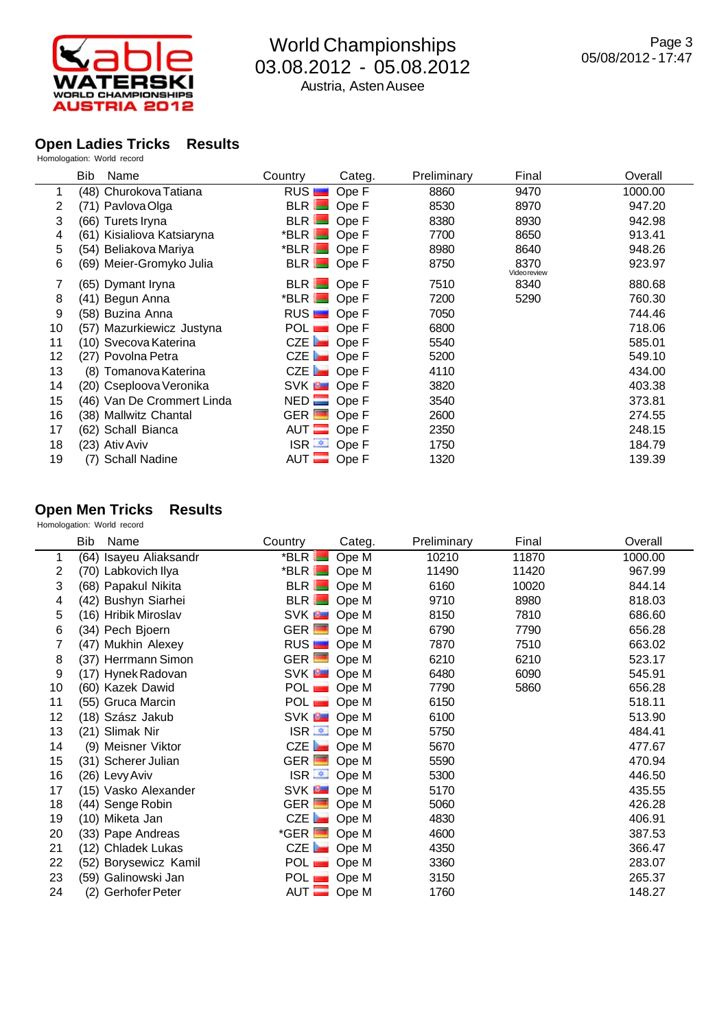

#### **Open Ladies Tricks Results**

Homologation: World record

|    | Bib<br>Name                | Country                | Categ. | Preliminary | Final                       | Overall |
|----|----------------------------|------------------------|--------|-------------|-----------------------------|---------|
|    | (48) Churokova Tatiana     | RUS <sub>I</sub>       | Ope F  | 8860        | 9470                        | 1000.00 |
| 2  | (71) Pavlova Olga          | $BLR$ $\blacksquare$   | Ope F  | 8530        | 8970                        | 947.20  |
| 3  | (66) Turets Iryna          | BLR                    | Ope F  | 8380        | 8930                        | 942.98  |
| 4  | (61) Kisialiova Katsiaryna | $*$ BLR $\blacksquare$ | Ope F  | 7700        | 8650                        | 913.41  |
| 5  | (54) Beliakova Mariya      | *BLR Ope F             |        | 8980        | 8640                        | 948.26  |
| 6  | (69) Meier-Gromyko Julia   | BLR Ope F              |        | 8750        | 8370<br><b>Video review</b> | 923.97  |
|    | (65) Dymant Iryna          | <b>BLR</b>             | Ope F  | 7510        | 8340                        | 880.68  |
| 8  | (41) Begun Anna            | $*$ BLR $\blacksquare$ | Ope F  | 7200        | 5290                        | 760.30  |
| 9  | (58) Buzina Anna           | RUS <b>D</b> Ope F     |        | 7050        |                             | 744.46  |
| 10 | (57) Mazurkiewicz Justyna  | POL <b>D</b> Ope F     |        | 6800        |                             | 718.06  |
| 11 | (10) Svecova Katerina      | CZE Ope F              |        | 5540        |                             | 585.01  |
| 12 | (27) Povolna Petra         | $CZE$ $\blacksquare$   | Ope F  | 5200        |                             | 549.10  |
| 13 | (8) Tomanova Katerina      | CZE                    | Ope F  | 4110        |                             | 434.00  |
| 14 | (20) Cseploova Veronika    | SVK <b>D</b> Ope F     |        | 3820        |                             | 403.38  |
| 15 | (46) Van De Crommert Linda | $NED$ Ope F            |        | 3540        |                             | 373.81  |
| 16 | (38) Mallwitz Chantal      | $GER$ $\Box$           | Ope F  | 2600        |                             | 274.55  |
| 17 | (62) Schall Bianca         | AUT $\equiv$           | Ope F  | 2350        |                             | 248.15  |
| 18 | (23) Ativ Aviv             | $ISR =$                | Ope F  | 1750        |                             | 184.79  |
| 19 | (7) Schall Nadine          | AUT $\equiv$           | Ope F  | 1320        |                             | 139.39  |

### **Open Men Tricks Results**

|    | Bib<br>Name            | Country              | Categ.                   | Preliminary | Final | Overall |
|----|------------------------|----------------------|--------------------------|-------------|-------|---------|
| 1  | (64) Isayeu Aliaksandr | *BLR <sup>1</sup>    | Ope M                    | 10210       | 11870 | 1000.00 |
| 2  | (70) Labkovich Ilya    | $*$ BLR $\Box$ Ope M |                          | 11490       | 11420 | 967.99  |
| 3  | (68) Papakul Nikita    | BLR Ope M            |                          | 6160        | 10020 | 844.14  |
| 4  | (42) Bushyn Siarhei    | BLR Ope M            |                          | 9710        | 8980  | 818.03  |
| 5  | (16) Hribik Miroslav   | SVK <b>B</b> Ope M   |                          | 8150        | 7810  | 686.60  |
| 6  | (34) Pech Bjoern       | $GER$ Ope M          |                          | 6790        | 7790  | 656.28  |
| 7  | (47) Mukhin Alexey     | RUS <b>D</b> Ope M   |                          | 7870        | 7510  | 663.02  |
| 8  | (37) Herrmann Simon    | GER Ope M            |                          | 6210        | 6210  | 523.17  |
| 9  | (17) Hynek Radovan     | SVK <b>B</b> Ope M   |                          | 6480        | 6090  | 545.91  |
| 10 | (60) Kazek Dawid       | POL <b>D</b> Ope M   |                          | 7790        | 5860  | 656.28  |
| 11 | (55) Gruca Marcin      | POL <b>D</b> Ope M   |                          | 6150        |       | 518.11  |
| 12 | (18) Szász Jakub       | SVK <b>B</b> Ope M   |                          | 6100        |       | 513.90  |
| 13 | (21) Slimak Nir        |                      | ISR <sup>■</sup> Ope M   | 5750        |       | 484.41  |
| 14 | (9) Meisner Viktor     | $CZE$ Ope M          |                          | 5670        |       | 477.67  |
| 15 | (31) Scherer Julian    | GER Ope M            |                          | 5590        |       | 470.94  |
| 16 | (26) Levy Aviv         |                      | ISR $\overline{=}$ Ope M | 5300        |       | 446.50  |
| 17 | (15) Vasko Alexander   | SVK <b>D</b> Ope M   |                          | 5170        |       | 435.55  |
| 18 | (44) Senge Robin       | GER Ope M            |                          | 5060        |       | 426.28  |
| 19 | (10) Miketa Jan        | $CZE$ Ope M          |                          | 4830        |       | 406.91  |
| 20 | (33) Pape Andreas      | $*GER$ $\Box$        | Ope M                    | 4600        |       | 387.53  |
| 21 | (12) Chladek Lukas     | $CZE$ Ope M          |                          | 4350        |       | 366.47  |
| 22 | (52) Borysewicz Kamil  | POL ∎                | Ope M                    | 3360        |       | 283.07  |
| 23 | (59) Galinowski Jan    | $POL$ $\blacksquare$ | Ope M                    | 3150        |       | 265.37  |
| 24 | (2) Gerhofer Peter     | $AUT$ Ope M          |                          | 1760        |       | 148.27  |
|    |                        |                      |                          |             |       |         |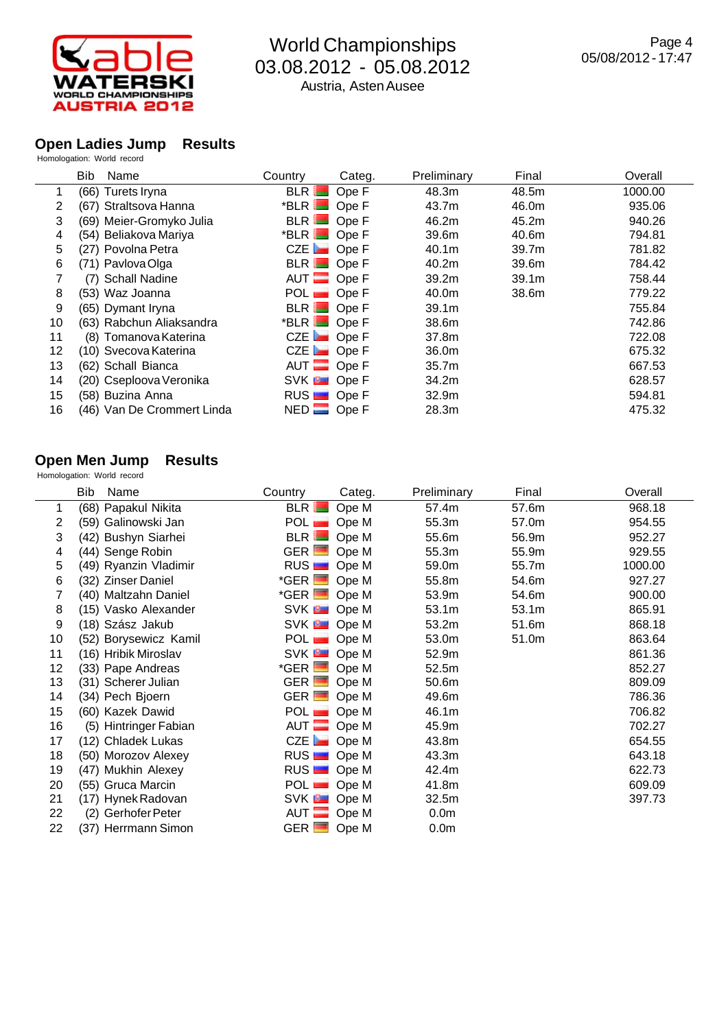

# **Open Ladies Jump Results**

|                | <b>Bib</b><br>Name         | Country                | Categ.      | Preliminary       | Final             | Overall |
|----------------|----------------------------|------------------------|-------------|-------------------|-------------------|---------|
|                | (66) Turets Iryna          | BLR                    | Ope F       | 48.3m             | 48.5m             | 1000.00 |
| $\overline{2}$ | (67) Straltsova Hanna      | $*$ BLR $\blacksquare$ | Ope F       | 43.7m             | 46.0m             | 935.06  |
| 3              | (69) Meier-Gromyko Julia   |                        | BLR Ope F   | 46.2m             | 45.2m             | 940.26  |
| 4              | (54) Beliakova Mariya      | $*$ BLR $\Box$ Ope F   |             | 39.6m             | 40.6m             | 794.81  |
| 5              | (27) Povolna Petra         | $CZE$ Ope F            |             | 40.1 <sub>m</sub> | 39.7m             | 781.82  |
| 6              | (71) Pavlova Olga          | BLR Ope F              |             | 40.2m             | 39.6m             | 784.42  |
|                | (7) Schall Nadine          | AUT Ope F              |             | 39.2m             | 39.1 <sub>m</sub> | 758.44  |
| 8              | (53) Waz Joanna            | POL <b>D</b> Ope F     |             | 40.0m             | 38.6m             | 779.22  |
| 9              | (65) Dymant Iryna          |                        | $BLR$ Ope F | 39.1 <sub>m</sub> |                   | 755.84  |
| 10             | (63) Rabchun Aliaksandra   | $*$ BLR $\Box$ Ope F   |             | 38.6m             |                   | 742.86  |
| 11             | (8) Tomanova Katerina      |                        | $CZE$ Ope F | 37.8m             |                   | 722.08  |
| 12             | (10) Svecova Katerina      |                        | $CZE$ Ope F | 36.0m             |                   | 675.32  |
| 13             | (62) Schall Bianca         | AUT Ope F              |             | 35.7m             |                   | 667.53  |
| 14             | (20) Cseploova Veronika    | SVK <b>D</b> Ope F     |             | 34.2m             |                   | 628.57  |
| 15             | (58) Buzina Anna           | RUS <b>D</b> Ope F     |             | 32.9m             |                   | 594.81  |
| 16             | (46) Van De Crommert Linda | $NED$ Ope F            |             | 28.3m             |                   | 475.32  |

#### **Open Men Jump Results**

|                | Name<br>Bib           | Country              | Categ. | Preliminary      | Final | Overall |
|----------------|-----------------------|----------------------|--------|------------------|-------|---------|
|                | (68) Papakul Nikita   | <b>BLR</b>           | Ope M  | 57.4m            | 57.6m | 968.18  |
| $\overline{2}$ | (59) Galinowski Jan   | POL                  | Ope M  | 55.3m            | 57.0m | 954.55  |
| 3              | (42) Bushyn Siarhei   | $BLR$ $\blacksquare$ | Ope M  | 55.6m            | 56.9m | 952.27  |
| 4              | (44) Senge Robin      | $GER$ $\Box$         | Ope M  | 55.3m            | 55.9m | 929.55  |
| 5              | (49) Ryanzin Vladimir | RUS <b>D</b> Ope M   |        | 59.0m            | 55.7m | 1000.00 |
| 6              | (32) Zinser Daniel    | $*GER$ $\Box$        | Ope M  | 55.8m            | 54.6m | 927.27  |
| 7              | (40) Maltzahn Daniel  | $*GER$ Ope M         |        | 53.9m            | 54.6m | 900.00  |
| 8              | (15) Vasko Alexander  | SVK <b>B</b> Ope M   |        | 53.1m            | 53.1m | 865.91  |
| 9              | (18) Szász Jakub      | SVK <b>B</b> Ope M   |        | 53.2m            | 51.6m | 868.18  |
| 10             | (52) Borysewicz Kamil | $POL$ $\blacksquare$ | Ope M  | 53.0m            | 51.0m | 863.64  |
| 11             | (16) Hribik Miroslav  | SVK <b>B</b> Ope M   |        | 52.9m            |       | 861.36  |
| 12             | (33) Pape Andreas     | $*$ GER $\Box$       | Ope M  | 52.5m            |       | 852.27  |
| 13             | (31) Scherer Julian   | GER Ope M            |        | 50.6m            |       | 809.09  |
| 14             | (34) Pech Bjoern      | GER Ope M            |        | 49.6m            |       | 786.36  |
| 15             | (60) Kazek Dawid      | POL <b>D</b> Ope M   |        | 46.1m            |       | 706.82  |
| 16             | (5) Hintringer Fabian | $AUT$ Ope M          |        | 45.9m            |       | 702.27  |
| 17             | (12) Chladek Lukas    | $CZE$ Ope M          |        | 43.8m            |       | 654.55  |
| 18             | (50) Morozov Alexey   | RUS <b>D</b> Ope M   |        | 43.3m            |       | 643.18  |
| 19             | (47) Mukhin Alexey    | RUS <b>D</b> Ope M   |        | 42.4m            |       | 622.73  |
| 20             | (55) Gruca Marcin     | POL Ope M            |        | 41.8m            |       | 609.09  |
| 21             | (17) Hynek Radovan    | SVK <b>B</b> Ope M   |        | 32.5m            |       | 397.73  |
| 22             | (2) Gerhofer Peter    | $AUT$ Ope M          |        | 0.0 <sub>m</sub> |       |         |
| 22             | (37) Herrmann Simon   | $GER$ Ope M          |        | 0.0 <sub>m</sub> |       |         |